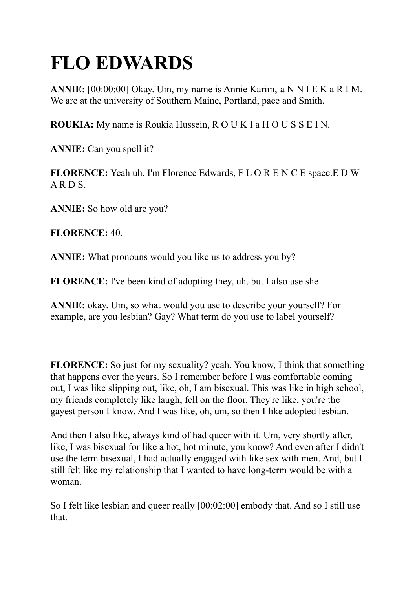# **FLO EDWARDS**

**ANNIE:** [00:00:00] Okay. Um, my name is Annie Karim, a N N I E K a R I M. We are at the university of Southern Maine, Portland, pace and Smith.

**ROUKIA:** My name is Roukia Hussein, R O U K I a H O U S S E I N.

**ANNIE:** Can you spell it?

**FLORENCE:** Yeah uh, I'm Florence Edwards, F L O R E N C E space.E D W A R D S.

**ANNIE:** So how old are you?

**FLORENCE:** 40.

**ANNIE:** What pronouns would you like us to address you by?

**FLORENCE:** I've been kind of adopting they, uh, but I also use she

**ANNIE:** okay. Um, so what would you use to describe your yourself? For example, are you lesbian? Gay? What term do you use to label yourself?

**FLORENCE:** So just for my sexuality? yeah. You know, I think that something that happens over the years. So I remember before I was comfortable coming out, I was like slipping out, like, oh, I am bisexual. This was like in high school, my friends completely like laugh, fell on the floor. They're like, you're the gayest person I know. And I was like, oh, um, so then I like adopted lesbian.

And then I also like, always kind of had queer with it. Um, very shortly after, like, I was bisexual for like a hot, hot minute, you know? And even after I didn't use the term bisexual, I had actually engaged with like sex with men. And, but I still felt like my relationship that I wanted to have long-term would be with a woman.

So I felt like lesbian and queer really [00:02:00] embody that. And so I still use that.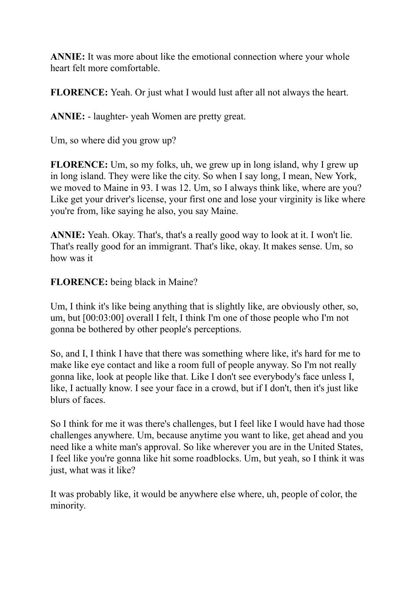**ANNIE:** It was more about like the emotional connection where your whole heart felt more comfortable.

**FLORENCE:** Yeah. Or just what I would lust after all not always the heart.

**ANNIE:** - laughter- yeah Women are pretty great.

Um, so where did you grow up?

**FLORENCE:** Um, so my folks, uh, we grew up in long island, why I grew up in long island. They were like the city. So when I say long, I mean, New York, we moved to Maine in 93. I was 12. Um, so I always think like, where are you? Like get your driver's license, your first one and lose your virginity is like where you're from, like saying he also, you say Maine.

**ANNIE:** Yeah. Okay. That's, that's a really good way to look at it. I won't lie. That's really good for an immigrant. That's like, okay. It makes sense. Um, so how was it

**FLORENCE:** being black in Maine?

Um, I think it's like being anything that is slightly like, are obviously other, so, um, but [00:03:00] overall I felt, I think I'm one of those people who I'm not gonna be bothered by other people's perceptions.

So, and I, I think I have that there was something where like, it's hard for me to make like eye contact and like a room full of people anyway. So I'm not really gonna like, look at people like that. Like I don't see everybody's face unless I, like, I actually know. I see your face in a crowd, but if I don't, then it's just like blurs of faces.

So I think for me it was there's challenges, but I feel like I would have had those challenges anywhere. Um, because anytime you want to like, get ahead and you need like a white man's approval. So like wherever you are in the United States, I feel like you're gonna like hit some roadblocks. Um, but yeah, so I think it was just, what was it like?

It was probably like, it would be anywhere else where, uh, people of color, the minority.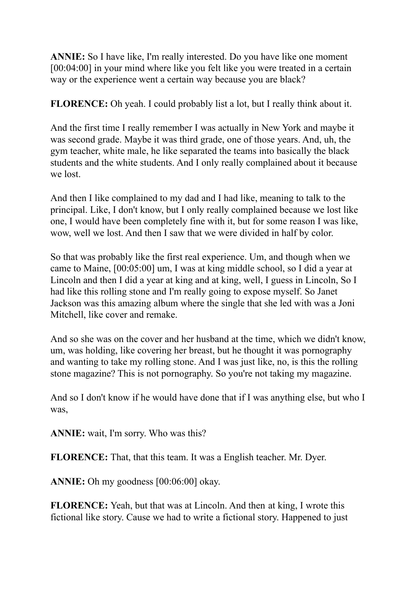**ANNIE:** So I have like, I'm really interested. Do you have like one moment [00:04:00] in your mind where like you felt like you were treated in a certain way or the experience went a certain way because you are black?

**FLORENCE:** Oh yeah. I could probably list a lot, but I really think about it.

And the first time I really remember I was actually in New York and maybe it was second grade. Maybe it was third grade, one of those years. And, uh, the gym teacher, white male, he like separated the teams into basically the black students and the white students. And I only really complained about it because we lost.

And then I like complained to my dad and I had like, meaning to talk to the principal. Like, I don't know, but I only really complained because we lost like one, I would have been completely fine with it, but for some reason I was like, wow, well we lost. And then I saw that we were divided in half by color.

So that was probably like the first real experience. Um, and though when we came to Maine, [00:05:00] um, I was at king middle school, so I did a year at Lincoln and then I did a year at king and at king, well, I guess in Lincoln, So I had like this rolling stone and I'm really going to expose myself. So Janet Jackson was this amazing album where the single that she led with was a Joni Mitchell, like cover and remake.

And so she was on the cover and her husband at the time, which we didn't know, um, was holding, like covering her breast, but he thought it was pornography and wanting to take my rolling stone. And I was just like, no, is this the rolling stone magazine? This is not pornography. So you're not taking my magazine.

And so I don't know if he would have done that if I was anything else, but who I was,

**ANNIE:** wait, I'm sorry. Who was this?

**FLORENCE:** That, that this team. It was a English teacher. Mr. Dyer.

**ANNIE:** Oh my goodness [00:06:00] okay.

**FLORENCE:** Yeah, but that was at Lincoln. And then at king, I wrote this fictional like story. Cause we had to write a fictional story. Happened to just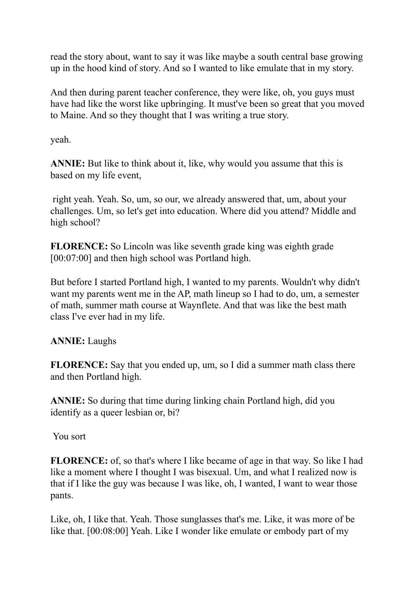read the story about, want to say it was like maybe a south central base growing up in the hood kind of story. And so I wanted to like emulate that in my story.

And then during parent teacher conference, they were like, oh, you guys must have had like the worst like upbringing. It must've been so great that you moved to Maine. And so they thought that I was writing a true story.

yeah.

**ANNIE:** But like to think about it, like, why would you assume that this is based on my life event,

right yeah. Yeah. So, um, so our, we already answered that, um, about your challenges. Um, so let's get into education. Where did you attend? Middle and high school?

**FLORENCE:** So Lincoln was like seventh grade king was eighth grade [00:07:00] and then high school was Portland high.

But before I started Portland high, I wanted to my parents. Wouldn't why didn't want my parents went me in the AP, math lineup so I had to do, um, a semester of math, summer math course at Waynflete. And that was like the best math class I've ever had in my life.

**ANNIE:** Laughs

**FLORENCE:** Say that you ended up, um, so I did a summer math class there and then Portland high.

**ANNIE:** So during that time during linking chain Portland high, did you identify as a queer lesbian or, bi?

You sort

**FLORENCE:** of, so that's where I like became of age in that way. So like I had like a moment where I thought I was bisexual. Um, and what I realized now is that if I like the guy was because I was like, oh, I wanted, I want to wear those pants.

Like, oh, I like that. Yeah. Those sunglasses that's me. Like, it was more of be like that. [00:08:00] Yeah. Like I wonder like emulate or embody part of my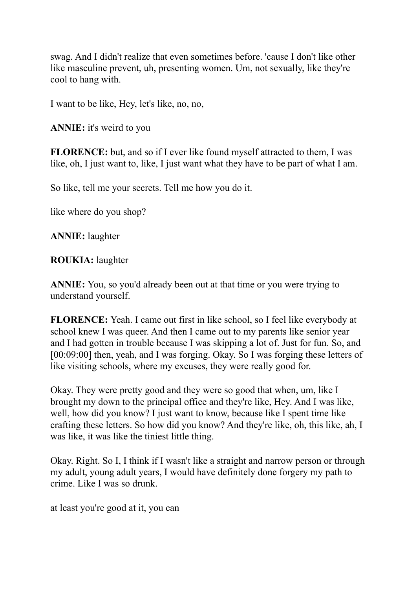swag. And I didn't realize that even sometimes before. 'cause I don't like other like masculine prevent, uh, presenting women. Um, not sexually, like they're cool to hang with.

I want to be like, Hey, let's like, no, no,

**ANNIE:** it's weird to you

**FLORENCE:** but, and so if I ever like found myself attracted to them, I was like, oh, I just want to, like, I just want what they have to be part of what I am.

So like, tell me your secrets. Tell me how you do it.

like where do you shop?

**ANNIE:** laughter

**ROUKIA:** laughter

**ANNIE:** You, so you'd already been out at that time or you were trying to understand yourself.

**FLORENCE:** Yeah. I came out first in like school, so I feel like everybody at school knew I was queer. And then I came out to my parents like senior year and I had gotten in trouble because I was skipping a lot of. Just for fun. So, and [00:09:00] then, yeah, and I was forging. Okay. So I was forging these letters of like visiting schools, where my excuses, they were really good for.

Okay. They were pretty good and they were so good that when, um, like I brought my down to the principal office and they're like, Hey. And I was like, well, how did you know? I just want to know, because like I spent time like crafting these letters. So how did you know? And they're like, oh, this like, ah, I was like, it was like the tiniest little thing.

Okay. Right. So I, I think if I wasn't like a straight and narrow person or through my adult, young adult years, I would have definitely done forgery my path to crime. Like I was so drunk.

at least you're good at it, you can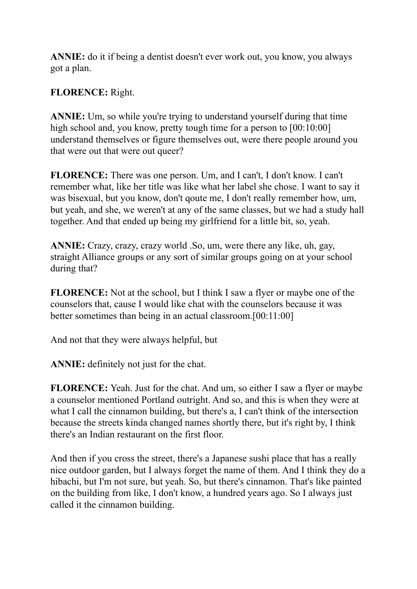**ANNIE:** do it if being a dentist doesn't ever work out, you know, you always got a plan.

**FLORENCE:** Right.

**ANNIE:** Um, so while you're trying to understand yourself during that time high school and, you know, pretty tough time for a person to  $[00:10:00]$ understand themselves or figure themselves out, were there people around you that were out that were out queer?

**FLORENCE:** There was one person. Um, and I can't, I don't know. I can't remember what, like her title was like what her label she chose. I want to say it was bisexual, but you know, don't qoute me, I don't really remember how, um, but yeah, and she, we weren't at any of the same classes, but we had a study hall together. And that ended up being my girlfriend for a little bit, so, yeah.

**ANNIE:** Crazy, crazy, crazy world .So, um, were there any like, uh, gay, straight Alliance groups or any sort of similar groups going on at your school during that?

**FLORENCE:** Not at the school, but I think I saw a flyer or maybe one of the counselors that, cause I would like chat with the counselors because it was better sometimes than being in an actual classroom.[00:11:00]

And not that they were always helpful, but

**ANNIE:** definitely not just for the chat.

**FLORENCE:** Yeah. Just for the chat. And um, so either I saw a flyer or maybe a counselor mentioned Portland outright. And so, and this is when they were at what I call the cinnamon building, but there's a, I can't think of the intersection because the streets kinda changed names shortly there, but it's right by, I think there's an Indian restaurant on the first floor.

And then if you cross the street, there's a Japanese sushi place that has a really nice outdoor garden, but I always forget the name of them. And I think they do a hibachi, but I'm not sure, but yeah. So, but there's cinnamon. That's like painted on the building from like, I don't know, a hundred years ago. So I always just called it the cinnamon building.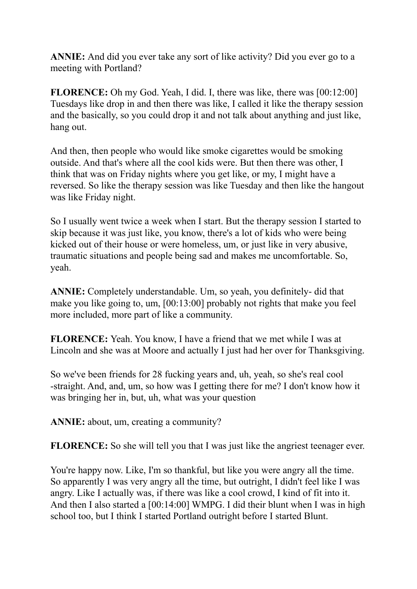**ANNIE:** And did you ever take any sort of like activity? Did you ever go to a meeting with Portland?

**FLORENCE:** Oh my God. Yeah, I did. I, there was like, there was [00:12:00] Tuesdays like drop in and then there was like, I called it like the therapy session and the basically, so you could drop it and not talk about anything and just like, hang out.

And then, then people who would like smoke cigarettes would be smoking outside. And that's where all the cool kids were. But then there was other, I think that was on Friday nights where you get like, or my, I might have a reversed. So like the therapy session was like Tuesday and then like the hangout was like Friday night.

So I usually went twice a week when I start. But the therapy session I started to skip because it was just like, you know, there's a lot of kids who were being kicked out of their house or were homeless, um, or just like in very abusive, traumatic situations and people being sad and makes me uncomfortable. So, yeah.

**ANNIE:** Completely understandable. Um, so yeah, you definitely- did that make you like going to, um, [00:13:00] probably not rights that make you feel more included, more part of like a community.

**FLORENCE:** Yeah. You know, I have a friend that we met while I was at Lincoln and she was at Moore and actually I just had her over for Thanksgiving.

So we've been friends for 28 fucking years and, uh, yeah, so she's real cool -straight. And, and, um, so how was I getting there for me? I don't know how it was bringing her in, but, uh, what was your question

**ANNIE:** about, um, creating a community?

**FLORENCE:** So she will tell you that I was just like the angriest teenager ever.

You're happy now. Like, I'm so thankful, but like you were angry all the time. So apparently I was very angry all the time, but outright, I didn't feel like I was angry. Like I actually was, if there was like a cool crowd, I kind of fit into it. And then I also started a [00:14:00] WMPG. I did their blunt when I was in high school too, but I think I started Portland outright before I started Blunt.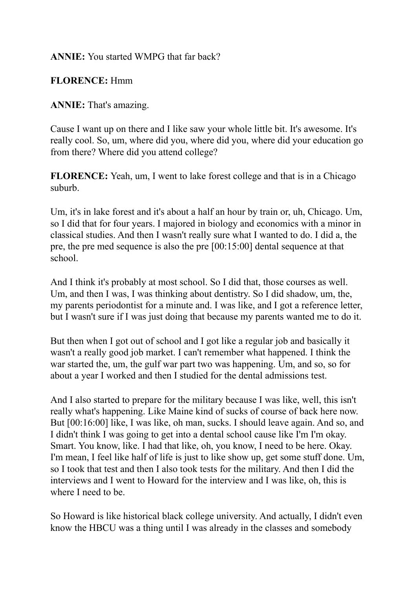#### **ANNIE:** You started WMPG that far back?

#### **FLORENCE:** Hmm

#### **ANNIE:** That's amazing.

Cause I want up on there and I like saw your whole little bit. It's awesome. It's really cool. So, um, where did you, where did you, where did your education go from there? Where did you attend college?

**FLORENCE:** Yeah, um, I went to lake forest college and that is in a Chicago suburb.

Um, it's in lake forest and it's about a half an hour by train or, uh, Chicago. Um, so I did that for four years. I majored in biology and economics with a minor in classical studies. And then I wasn't really sure what I wanted to do. I did a, the pre, the pre med sequence is also the pre [00:15:00] dental sequence at that school.

And I think it's probably at most school. So I did that, those courses as well. Um, and then I was, I was thinking about dentistry. So I did shadow, um, the, my parents periodontist for a minute and. I was like, and I got a reference letter, but I wasn't sure if I was just doing that because my parents wanted me to do it.

But then when I got out of school and I got like a regular job and basically it wasn't a really good job market. I can't remember what happened. I think the war started the, um, the gulf war part two was happening. Um, and so, so for about a year I worked and then I studied for the dental admissions test.

And I also started to prepare for the military because I was like, well, this isn't really what's happening. Like Maine kind of sucks of course of back here now. But [00:16:00] like, I was like, oh man, sucks. I should leave again. And so, and I didn't think I was going to get into a dental school cause like I'm I'm okay. Smart. You know, like. I had that like, oh, you know, I need to be here. Okay. I'm mean, I feel like half of life is just to like show up, get some stuff done. Um, so I took that test and then I also took tests for the military. And then I did the interviews and I went to Howard for the interview and I was like, oh, this is where I need to be.

So Howard is like historical black college university. And actually, I didn't even know the HBCU was a thing until I was already in the classes and somebody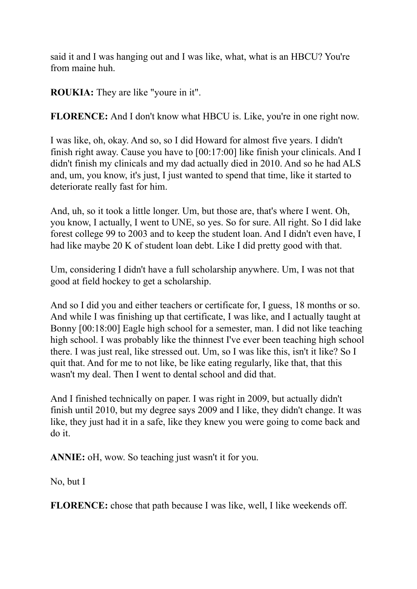said it and I was hanging out and I was like, what, what is an HBCU? You're from maine huh.

**ROUKIA:** They are like "youre in it".

**FLORENCE:** And I don't know what HBCU is. Like, you're in one right now.

I was like, oh, okay. And so, so I did Howard for almost five years. I didn't finish right away. Cause you have to [00:17:00] like finish your clinicals. And I didn't finish my clinicals and my dad actually died in 2010. And so he had ALS and, um, you know, it's just, I just wanted to spend that time, like it started to deteriorate really fast for him.

And, uh, so it took a little longer. Um, but those are, that's where I went. Oh, you know, I actually, I went to UNE, so yes. So for sure. All right. So I did lake forest college 99 to 2003 and to keep the student loan. And I didn't even have, I had like maybe 20 K of student loan debt. Like I did pretty good with that.

Um, considering I didn't have a full scholarship anywhere. Um, I was not that good at field hockey to get a scholarship.

And so I did you and either teachers or certificate for, I guess, 18 months or so. And while I was finishing up that certificate, I was like, and I actually taught at Bonny [00:18:00] Eagle high school for a semester, man. I did not like teaching high school. I was probably like the thinnest I've ever been teaching high school there. I was just real, like stressed out. Um, so I was like this, isn't it like? So I quit that. And for me to not like, be like eating regularly, like that, that this wasn't my deal. Then I went to dental school and did that.

And I finished technically on paper. I was right in 2009, but actually didn't finish until 2010, but my degree says 2009 and I like, they didn't change. It was like, they just had it in a safe, like they knew you were going to come back and do it.

**ANNIE:** oH, wow. So teaching just wasn't it for you.

No, but I

**FLORENCE:** chose that path because I was like, well, I like weekends off.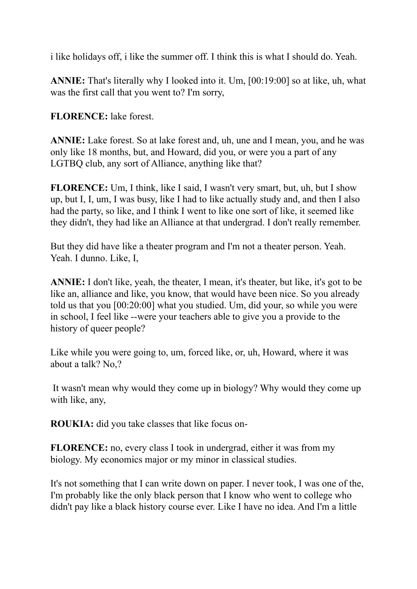i like holidays off, i like the summer off. I think this is what I should do. Yeah.

**ANNIE:** That's literally why I looked into it. Um, [00:19:00] so at like, uh, what was the first call that you went to? I'm sorry,

**FLORENCE:** lake forest.

**ANNIE:** Lake forest. So at lake forest and, uh, une and I mean, you, and he was only like 18 months, but, and Howard, did you, or were you a part of any LGTBQ club, any sort of Alliance, anything like that?

**FLORENCE:** Um, I think, like I said, I wasn't very smart, but, uh, but I show up, but I, I, um, I was busy, like I had to like actually study and, and then I also had the party, so like, and I think I went to like one sort of like, it seemed like they didn't, they had like an Alliance at that undergrad. I don't really remember.

But they did have like a theater program and I'm not a theater person. Yeah. Yeah. I dunno. Like, I,

**ANNIE:** I don't like, yeah, the theater, I mean, it's theater, but like, it's got to be like an, alliance and like, you know, that would have been nice. So you already told us that you [00:20:00] what you studied. Um, did your, so while you were in school, I feel like --were your teachers able to give you a provide to the history of queer people?

Like while you were going to, um, forced like, or, uh, Howard, where it was about a talk? No,?

It wasn't mean why would they come up in biology? Why would they come up with like, any,

**ROUKIA:** did you take classes that like focus on-

**FLORENCE:** no, every class I took in undergrad, either it was from my biology. My economics major or my minor in classical studies.

It's not something that I can write down on paper. I never took, I was one of the, I'm probably like the only black person that I know who went to college who didn't pay like a black history course ever. Like I have no idea. And I'm a little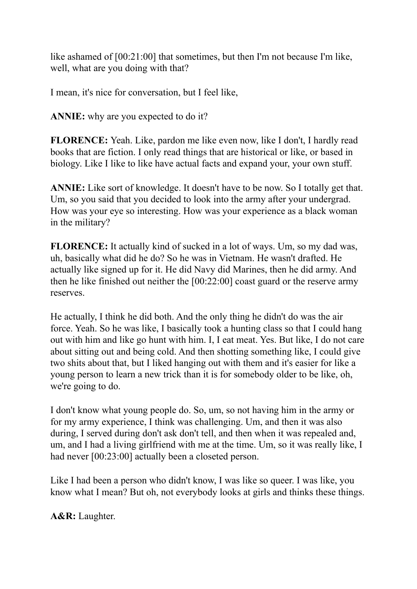like ashamed of [00:21:00] that sometimes, but then I'm not because I'm like, well, what are you doing with that?

I mean, it's nice for conversation, but I feel like,

**ANNIE:** why are you expected to do it?

**FLORENCE:** Yeah. Like, pardon me like even now, like I don't, I hardly read books that are fiction. I only read things that are historical or like, or based in biology. Like I like to like have actual facts and expand your, your own stuff.

**ANNIE:** Like sort of knowledge. It doesn't have to be now. So I totally get that. Um, so you said that you decided to look into the army after your undergrad. How was your eye so interesting. How was your experience as a black woman in the military?

**FLORENCE:** It actually kind of sucked in a lot of ways. Um, so my dad was, uh, basically what did he do? So he was in Vietnam. He wasn't drafted. He actually like signed up for it. He did Navy did Marines, then he did army. And then he like finished out neither the [00:22:00] coast guard or the reserve army reserves.

He actually, I think he did both. And the only thing he didn't do was the air force. Yeah. So he was like, I basically took a hunting class so that I could hang out with him and like go hunt with him. I, I eat meat. Yes. But like, I do not care about sitting out and being cold. And then shotting something like, I could give two shits about that, but I liked hanging out with them and it's easier for like a young person to learn a new trick than it is for somebody older to be like, oh, we're going to do.

I don't know what young people do. So, um, so not having him in the army or for my army experience, I think was challenging. Um, and then it was also during, I served during don't ask don't tell, and then when it was repealed and, um, and I had a living girlfriend with me at the time. Um, so it was really like, I had never  $[00:23:00]$  actually been a closeted person.

Like I had been a person who didn't know, I was like so queer. I was like, you know what I mean? But oh, not everybody looks at girls and thinks these things.

**A&R:** Laughter.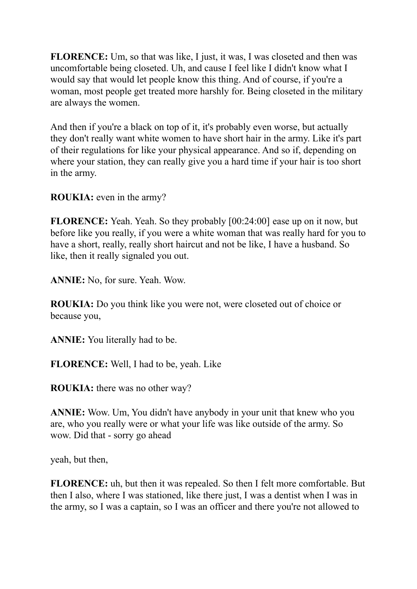**FLORENCE:** Um, so that was like, I just, it was, I was closeted and then was uncomfortable being closeted. Uh, and cause I feel like I didn't know what I would say that would let people know this thing. And of course, if you're a woman, most people get treated more harshly for. Being closeted in the military are always the women.

And then if you're a black on top of it, it's probably even worse, but actually they don't really want white women to have short hair in the army. Like it's part of their regulations for like your physical appearance. And so if, depending on where your station, they can really give you a hard time if your hair is too short in the army.

**ROUKIA:** even in the army?

**FLORENCE:** Yeah. Yeah. So they probably [00:24:00] ease up on it now, but before like you really, if you were a white woman that was really hard for you to have a short, really, really short haircut and not be like, I have a husband. So like, then it really signaled you out.

**ANNIE:** No, for sure. Yeah. Wow.

**ROUKIA:** Do you think like you were not, were closeted out of choice or because you,

**ANNIE:** You literally had to be.

**FLORENCE:** Well, I had to be, yeah. Like

**ROUKIA:** there was no other way?

**ANNIE:** Wow. Um, You didn't have anybody in your unit that knew who you are, who you really were or what your life was like outside of the army. So wow. Did that - sorry go ahead

yeah, but then,

**FLORENCE:** uh, but then it was repealed. So then I felt more comfortable. But then I also, where I was stationed, like there just, I was a dentist when I was in the army, so I was a captain, so I was an officer and there you're not allowed to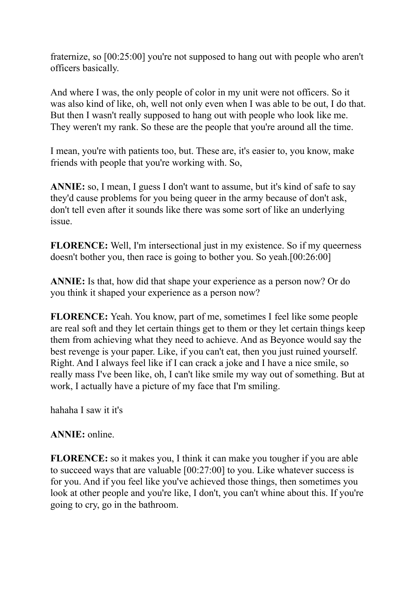fraternize, so [00:25:00] you're not supposed to hang out with people who aren't officers basically.

And where I was, the only people of color in my unit were not officers. So it was also kind of like, oh, well not only even when I was able to be out, I do that. But then I wasn't really supposed to hang out with people who look like me. They weren't my rank. So these are the people that you're around all the time.

I mean, you're with patients too, but. These are, it's easier to, you know, make friends with people that you're working with. So,

**ANNIE:** so, I mean, I guess I don't want to assume, but it's kind of safe to say they'd cause problems for you being queer in the army because of don't ask, don't tell even after it sounds like there was some sort of like an underlying issue.

**FLORENCE:** Well, I'm intersectional just in my existence. So if my queerness doesn't bother you, then race is going to bother you. So yeah.[00:26:00]

**ANNIE:** Is that, how did that shape your experience as a person now? Or do you think it shaped your experience as a person now?

**FLORENCE:** Yeah. You know, part of me, sometimes I feel like some people are real soft and they let certain things get to them or they let certain things keep them from achieving what they need to achieve. And as Beyonce would say the best revenge is your paper. Like, if you can't eat, then you just ruined yourself. Right. And I always feel like if I can crack a joke and I have a nice smile, so really mass I've been like, oh, I can't like smile my way out of something. But at work, I actually have a picture of my face that I'm smiling.

hahaha I saw it it's

#### **ANNIE:** online.

**FLORENCE:** so it makes you, I think it can make you tougher if you are able to succeed ways that are valuable [00:27:00] to you. Like whatever success is for you. And if you feel like you've achieved those things, then sometimes you look at other people and you're like, I don't, you can't whine about this. If you're going to cry, go in the bathroom.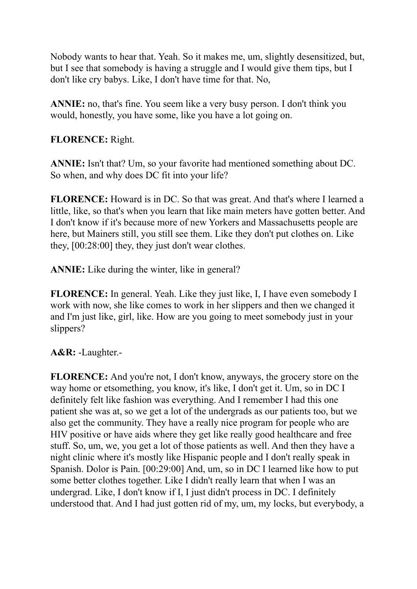Nobody wants to hear that. Yeah. So it makes me, um, slightly desensitized, but, but I see that somebody is having a struggle and I would give them tips, but I don't like cry babys. Like, I don't have time for that. No,

**ANNIE:** no, that's fine. You seem like a very busy person. I don't think you would, honestly, you have some, like you have a lot going on.

## **FLORENCE:** Right.

**ANNIE:** Isn't that? Um, so your favorite had mentioned something about DC. So when, and why does DC fit into your life?

**FLORENCE:** Howard is in DC. So that was great. And that's where I learned a little, like, so that's when you learn that like main meters have gotten better. And I don't know if it's because more of new Yorkers and Massachusetts people are here, but Mainers still, you still see them. Like they don't put clothes on. Like they, [00:28:00] they, they just don't wear clothes.

**ANNIE:** Like during the winter, like in general?

**FLORENCE:** In general. Yeah. Like they just like, I, I have even somebody I work with now, she like comes to work in her slippers and then we changed it and I'm just like, girl, like. How are you going to meet somebody just in your slippers?

**A&R:** -Laughter.-

**FLORENCE:** And you're not, I don't know, anyways, the grocery store on the way home or etsomething, you know, it's like, I don't get it. Um, so in DC I definitely felt like fashion was everything. And I remember I had this one patient she was at, so we get a lot of the undergrads as our patients too, but we also get the community. They have a really nice program for people who are HIV positive or have aids where they get like really good healthcare and free stuff. So, um, we, you get a lot of those patients as well. And then they have a night clinic where it's mostly like Hispanic people and I don't really speak in Spanish. Dolor is Pain. [00:29:00] And, um, so in DC I learned like how to put some better clothes together. Like I didn't really learn that when I was an undergrad. Like, I don't know if I, I just didn't process in DC. I definitely understood that. And I had just gotten rid of my, um, my locks, but everybody, a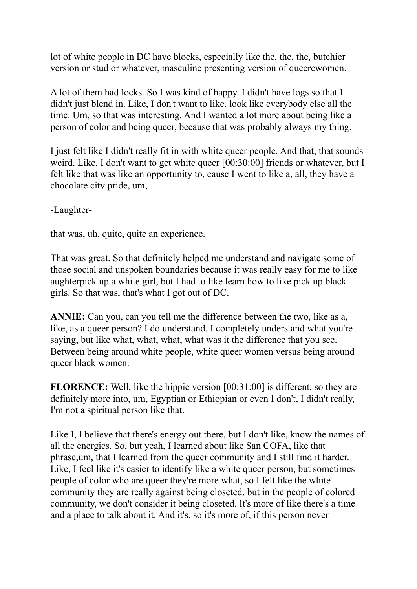lot of white people in DC have blocks, especially like the, the, the, butchier version or stud or whatever, masculine presenting version of queercwomen.

A lot of them had locks. So I was kind of happy. I didn't have logs so that I didn't just blend in. Like, I don't want to like, look like everybody else all the time. Um, so that was interesting. And I wanted a lot more about being like a person of color and being queer, because that was probably always my thing.

I just felt like I didn't really fit in with white queer people. And that, that sounds weird. Like, I don't want to get white queer [00:30:00] friends or whatever, but I felt like that was like an opportunity to, cause I went to like a, all, they have a chocolate city pride, um,

-Laughter-

that was, uh, quite, quite an experience.

That was great. So that definitely helped me understand and navigate some of those social and unspoken boundaries because it was really easy for me to like aughterpick up a white girl, but I had to like learn how to like pick up black girls. So that was, that's what I got out of DC.

**ANNIE:** Can you, can you tell me the difference between the two, like as a, like, as a queer person? I do understand. I completely understand what you're saying, but like what, what, what, what was it the difference that you see. Between being around white people, white queer women versus being around queer black women.

**FLORENCE:** Well, like the hippie version [00:31:00] is different, so they are definitely more into, um, Egyptian or Ethiopian or even I don't, I didn't really, I'm not a spiritual person like that.

Like I, I believe that there's energy out there, but I don't like, know the names of all the energies. So, but yeah, I learned about like San COFA, like that phrase,um, that I learned from the queer community and I still find it harder. Like, I feel like it's easier to identify like a white queer person, but sometimes people of color who are queer they're more what, so I felt like the white community they are really against being closeted, but in the people of colored community, we don't consider it being closeted. It's more of like there's a time and a place to talk about it. And it's, so it's more of, if this person never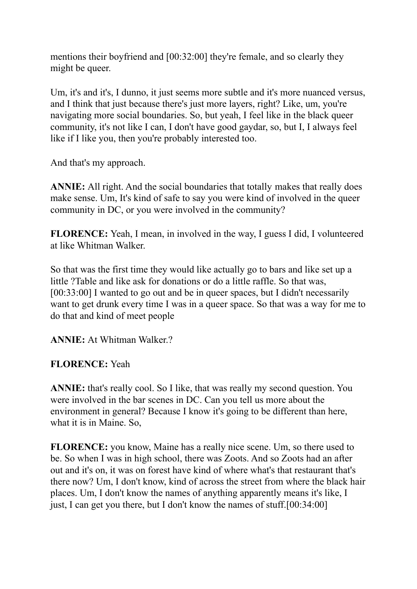mentions their boyfriend and [00:32:00] they're female, and so clearly they might be queer.

Um, it's and it's, I dunno, it just seems more subtle and it's more nuanced versus, and I think that just because there's just more layers, right? Like, um, you're navigating more social boundaries. So, but yeah, I feel like in the black queer community, it's not like I can, I don't have good gaydar, so, but I, I always feel like if I like you, then you're probably interested too.

And that's my approach.

**ANNIE:** All right. And the social boundaries that totally makes that really does make sense. Um, It's kind of safe to say you were kind of involved in the queer community in DC, or you were involved in the community?

**FLORENCE:** Yeah, I mean, in involved in the way, I guess I did, I volunteered at like Whitman Walker.

So that was the first time they would like actually go to bars and like set up a little ?Table and like ask for donations or do a little raffle. So that was, [00:33:00] I wanted to go out and be in queer spaces, but I didn't necessarily want to get drunk every time I was in a queer space. So that was a way for me to do that and kind of meet people

**ANNIE:** At Whitman Walker?

## **FLORENCE:** Yeah

**ANNIE:** that's really cool. So I like, that was really my second question. You were involved in the bar scenes in DC. Can you tell us more about the environment in general? Because I know it's going to be different than here, what it is in Maine. So,

**FLORENCE:** you know, Maine has a really nice scene. Um, so there used to be. So when I was in high school, there was Zoots. And so Zoots had an after out and it's on, it was on forest have kind of where what's that restaurant that's there now? Um, I don't know, kind of across the street from where the black hair places. Um, I don't know the names of anything apparently means it's like, I just, I can get you there, but I don't know the names of stuff.[00:34:00]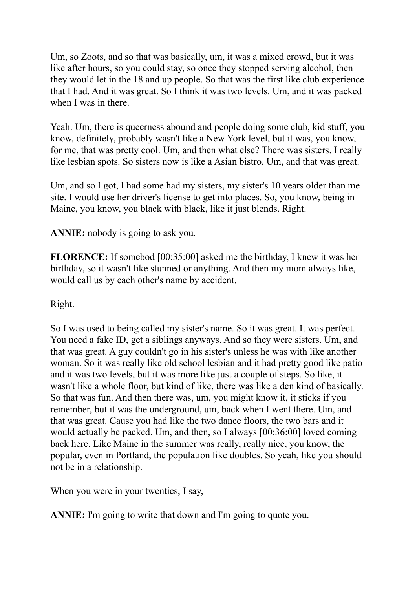Um, so Zoots, and so that was basically, um, it was a mixed crowd, but it was like after hours, so you could stay, so once they stopped serving alcohol, then they would let in the 18 and up people. So that was the first like club experience that I had. And it was great. So I think it was two levels. Um, and it was packed when I was in there.

Yeah. Um, there is queerness abound and people doing some club, kid stuff, you know, definitely, probably wasn't like a New York level, but it was, you know, for me, that was pretty cool. Um, and then what else? There was sisters. I really like lesbian spots. So sisters now is like a Asian bistro. Um, and that was great.

Um, and so I got, I had some had my sisters, my sister's 10 years older than me site. I would use her driver's license to get into places. So, you know, being in Maine, you know, you black with black, like it just blends. Right.

**ANNIE:** nobody is going to ask you.

**FLORENCE:** If somebod [00:35:00] asked me the birthday, I knew it was her birthday, so it wasn't like stunned or anything. And then my mom always like, would call us by each other's name by accident.

Right.

So I was used to being called my sister's name. So it was great. It was perfect. You need a fake ID, get a siblings anyways. And so they were sisters. Um, and that was great. A guy couldn't go in his sister's unless he was with like another woman. So it was really like old school lesbian and it had pretty good like patio and it was two levels, but it was more like just a couple of steps. So like, it wasn't like a whole floor, but kind of like, there was like a den kind of basically. So that was fun. And then there was, um, you might know it, it sticks if you remember, but it was the underground, um, back when I went there. Um, and that was great. Cause you had like the two dance floors, the two bars and it would actually be packed. Um, and then, so I always [00:36:00] loved coming back here. Like Maine in the summer was really, really nice, you know, the popular, even in Portland, the population like doubles. So yeah, like you should not be in a relationship.

When you were in your twenties, I say,

**ANNIE:** I'm going to write that down and I'm going to quote you.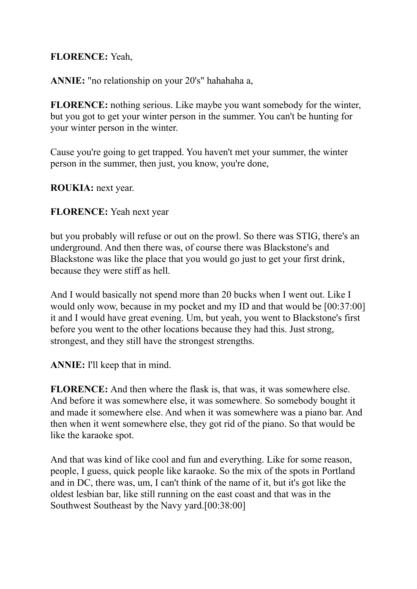## **FLORENCE:** Yeah,

**ANNIE:** "no relationship on your 20's" hahahaha a,

**FLORENCE:** nothing serious. Like maybe you want somebody for the winter, but you got to get your winter person in the summer. You can't be hunting for your winter person in the winter.

Cause you're going to get trapped. You haven't met your summer, the winter person in the summer, then just, you know, you're done,

**ROUKIA:** next year.

#### **FLORENCE:** Yeah next year

but you probably will refuse or out on the prowl. So there was STIG, there's an underground. And then there was, of course there was Blackstone's and Blackstone was like the place that you would go just to get your first drink, because they were stiff as hell.

And I would basically not spend more than 20 bucks when I went out. Like I would only wow, because in my pocket and my ID and that would be [00:37:00] it and I would have great evening. Um, but yeah, you went to Blackstone's first before you went to the other locations because they had this. Just strong, strongest, and they still have the strongest strengths.

**ANNIE:** I'll keep that in mind.

**FLORENCE:** And then where the flask is, that was, it was somewhere else. And before it was somewhere else, it was somewhere. So somebody bought it and made it somewhere else. And when it was somewhere was a piano bar. And then when it went somewhere else, they got rid of the piano. So that would be like the karaoke spot.

And that was kind of like cool and fun and everything. Like for some reason, people, I guess, quick people like karaoke. So the mix of the spots in Portland and in DC, there was, um, I can't think of the name of it, but it's got like the oldest lesbian bar, like still running on the east coast and that was in the Southwest Southeast by the Navy yard.[00:38:00]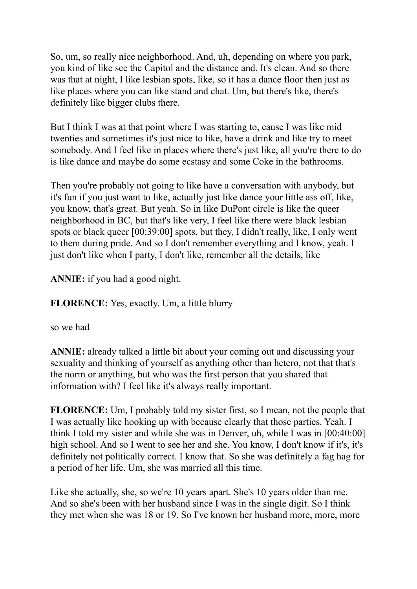So, um, so really nice neighborhood. And, uh, depending on where you park, you kind of like see the Capitol and the distance and. It's clean. And so there was that at night, I like lesbian spots, like, so it has a dance floor then just as like places where you can like stand and chat. Um, but there's like, there's definitely like bigger clubs there.

But I think I was at that point where I was starting to, cause I was like mid twenties and sometimes it's just nice to like, have a drink and like try to meet somebody. And I feel like in places where there's just like, all you're there to do is like dance and maybe do some ecstasy and some Coke in the bathrooms.

Then you're probably not going to like have a conversation with anybody, but it's fun if you just want to like, actually just like dance your little ass off, like, you know, that's great. But yeah. So in like DuPont circle is like the queer neighborhood in BC, but that's like very, I feel like there were black lesbian spots or black queer [00:39:00] spots, but they, I didn't really, like, I only went to them during pride. And so I don't remember everything and I know, yeah. I just don't like when I party, I don't like, remember all the details, like

**ANNIE:** if you had a good night.

**FLORENCE:** Yes, exactly. Um, a little blurry

so we had

**ANNIE:** already talked a little bit about your coming out and discussing your sexuality and thinking of yourself as anything other than hetero, not that that's the norm or anything, but who was the first person that you shared that information with? I feel like it's always really important.

**FLORENCE:** Um, I probably told my sister first, so I mean, not the people that I was actually like hooking up with because clearly that those parties. Yeah. I think I told my sister and while she was in Denver, uh, while I was in [00:40:00] high school. And so I went to see her and she. You know, I don't know if it's, it's definitely not politically correct. I know that. So she was definitely a fag hag for a period of her life. Um, she was married all this time.

Like she actually, she, so we're 10 years apart. She's 10 years older than me. And so she's been with her husband since I was in the single digit. So I think they met when she was 18 or 19. So I've known her husband more, more, more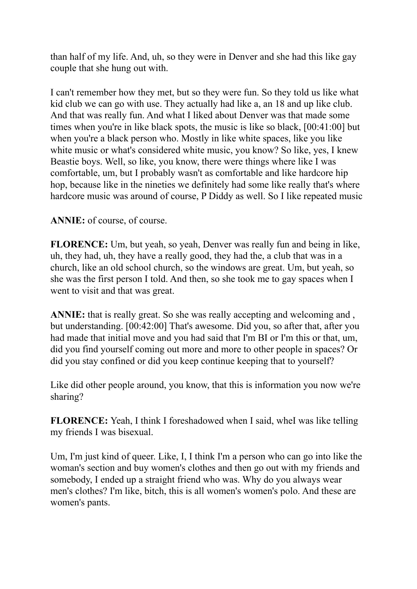than half of my life. And, uh, so they were in Denver and she had this like gay couple that she hung out with.

I can't remember how they met, but so they were fun. So they told us like what kid club we can go with use. They actually had like a, an 18 and up like club. And that was really fun. And what I liked about Denver was that made some times when you're in like black spots, the music is like so black, [00:41:00] but when you're a black person who. Mostly in like white spaces, like you like white music or what's considered white music, you know? So like, yes, I knew Beastie boys. Well, so like, you know, there were things where like I was comfortable, um, but I probably wasn't as comfortable and like hardcore hip hop, because like in the nineties we definitely had some like really that's where hardcore music was around of course, P Diddy as well. So I like repeated music

## **ANNIE:** of course, of course.

**FLORENCE:** Um, but yeah, so yeah, Denver was really fun and being in like, uh, they had, uh, they have a really good, they had the, a club that was in a church, like an old school church, so the windows are great. Um, but yeah, so she was the first person I told. And then, so she took me to gay spaces when I went to visit and that was great.

**ANNIE:** that is really great. So she was really accepting and welcoming and, but understanding. [00:42:00] That's awesome. Did you, so after that, after you had made that initial move and you had said that I'm BI or I'm this or that, um, did you find yourself coming out more and more to other people in spaces? Or did you stay confined or did you keep continue keeping that to yourself?

Like did other people around, you know, that this is information you now we're sharing?

**FLORENCE:** Yeah, I think I foreshadowed when I said, wheI was like telling my friends I was bisexual.

Um, I'm just kind of queer. Like, I, I think I'm a person who can go into like the woman's section and buy women's clothes and then go out with my friends and somebody, I ended up a straight friend who was. Why do you always wear men's clothes? I'm like, bitch, this is all women's women's polo. And these are women's pants.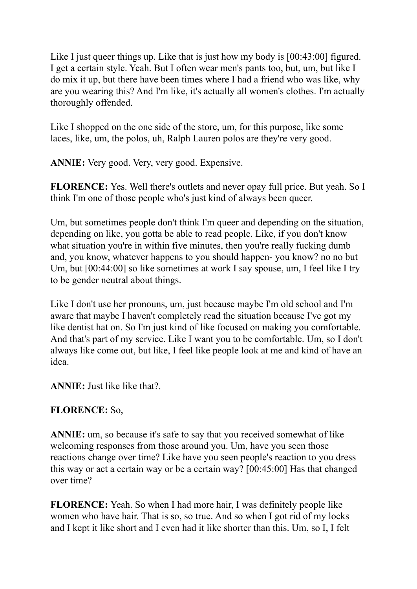Like I just queer things up. Like that is just how my body is [00:43:00] figured. I get a certain style. Yeah. But I often wear men's pants too, but, um, but like I do mix it up, but there have been times where I had a friend who was like, why are you wearing this? And I'm like, it's actually all women's clothes. I'm actually thoroughly offended.

Like I shopped on the one side of the store, um, for this purpose, like some laces, like, um, the polos, uh, Ralph Lauren polos are they're very good.

**ANNIE:** Very good. Very, very good. Expensive.

**FLORENCE:** Yes. Well there's outlets and never opay full price. But yeah. So I think I'm one of those people who's just kind of always been queer.

Um, but sometimes people don't think I'm queer and depending on the situation, depending on like, you gotta be able to read people. Like, if you don't know what situation you're in within five minutes, then you're really fucking dumb and, you know, whatever happens to you should happen- you know? no no but Um, but [00:44:00] so like sometimes at work I say spouse, um, I feel like I try to be gender neutral about things.

Like I don't use her pronouns, um, just because maybe I'm old school and I'm aware that maybe I haven't completely read the situation because I've got my like dentist hat on. So I'm just kind of like focused on making you comfortable. And that's part of my service. Like I want you to be comfortable. Um, so I don't always like come out, but like, I feel like people look at me and kind of have an idea.

**ANNIE:** Just like like that?.

## **FLORENCE:** So,

**ANNIE:** um, so because it's safe to say that you received somewhat of like welcoming responses from those around you. Um, have you seen those reactions change over time? Like have you seen people's reaction to you dress this way or act a certain way or be a certain way? [00:45:00] Has that changed over time?

**FLORENCE:** Yeah. So when I had more hair, I was definitely people like women who have hair. That is so, so true. And so when I got rid of my locks and I kept it like short and I even had it like shorter than this. Um, so I, I felt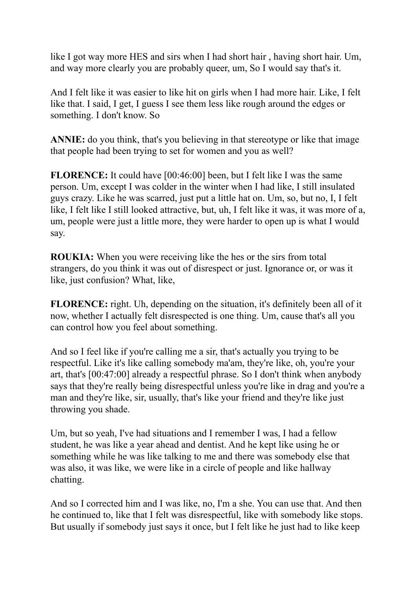like I got way more HES and sirs when I had short hair , having short hair. Um, and way more clearly you are probably queer, um, So I would say that's it.

And I felt like it was easier to like hit on girls when I had more hair. Like, I felt like that. I said, I get, I guess I see them less like rough around the edges or something. I don't know. So

**ANNIE:** do you think, that's you believing in that stereotype or like that image that people had been trying to set for women and you as well?

**FLORENCE:** It could have [00:46:00] been, but I felt like I was the same person. Um, except I was colder in the winter when I had like, I still insulated guys crazy. Like he was scarred, just put a little hat on. Um, so, but no, I, I felt like, I felt like I still looked attractive, but, uh, I felt like it was, it was more of a, um, people were just a little more, they were harder to open up is what I would say.

**ROUKIA:** When you were receiving like the hes or the sirs from total strangers, do you think it was out of disrespect or just. Ignorance or, or was it like, just confusion? What, like,

**FLORENCE:** right. Uh, depending on the situation, it's definitely been all of it now, whether I actually felt disrespected is one thing. Um, cause that's all you can control how you feel about something.

And so I feel like if you're calling me a sir, that's actually you trying to be respectful. Like it's like calling somebody ma'am, they're like, oh, you're your art, that's [00:47:00] already a respectful phrase. So I don't think when anybody says that they're really being disrespectful unless you're like in drag and you're a man and they're like, sir, usually, that's like your friend and they're like just throwing you shade.

Um, but so yeah, I've had situations and I remember I was, I had a fellow student, he was like a year ahead and dentist. And he kept like using he or something while he was like talking to me and there was somebody else that was also, it was like, we were like in a circle of people and like hallway chatting.

And so I corrected him and I was like, no, I'm a she. You can use that. And then he continued to, like that I felt was disrespectful, like with somebody like stops. But usually if somebody just says it once, but I felt like he just had to like keep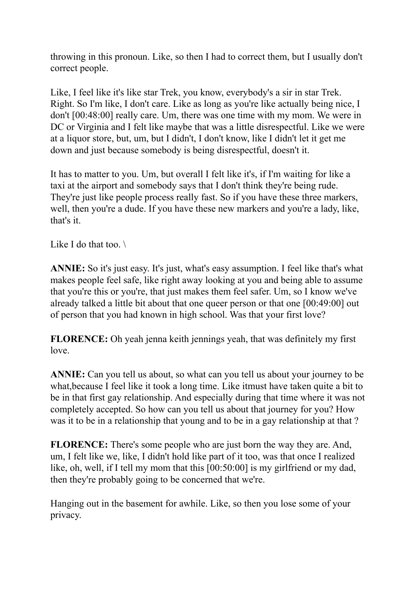throwing in this pronoun. Like, so then I had to correct them, but I usually don't correct people.

Like, I feel like it's like star Trek, you know, everybody's a sir in star Trek. Right. So I'm like, I don't care. Like as long as you're like actually being nice, I don't [00:48:00] really care. Um, there was one time with my mom. We were in DC or Virginia and I felt like maybe that was a little disrespectful. Like we were at a liquor store, but, um, but I didn't, I don't know, like I didn't let it get me down and just because somebody is being disrespectful, doesn't it.

It has to matter to you. Um, but overall I felt like it's, if I'm waiting for like a taxi at the airport and somebody says that I don't think they're being rude. They're just like people process really fast. So if you have these three markers, well, then you're a dude. If you have these new markers and you're a lady, like, that's it.

Like I do that too.  $\setminus$ 

**ANNIE:** So it's just easy. It's just, what's easy assumption. I feel like that's what makes people feel safe, like right away looking at you and being able to assume that you're this or you're, that just makes them feel safer. Um, so I know we've already talked a little bit about that one queer person or that one [00:49:00] out of person that you had known in high school. Was that your first love?

**FLORENCE:** Oh yeah jenna keith jennings yeah, that was definitely my first love.

**ANNIE:** Can you tell us about, so what can you tell us about your journey to be what,because I feel like it took a long time. Like itmust have taken quite a bit to be in that first gay relationship. And especially during that time where it was not completely accepted. So how can you tell us about that journey for you? How was it to be in a relationship that young and to be in a gay relationship at that ?

**FLORENCE:** There's some people who are just born the way they are. And, um, I felt like we, like, I didn't hold like part of it too, was that once I realized like, oh, well, if I tell my mom that this [00:50:00] is my girlfriend or my dad, then they're probably going to be concerned that we're.

Hanging out in the basement for awhile. Like, so then you lose some of your privacy.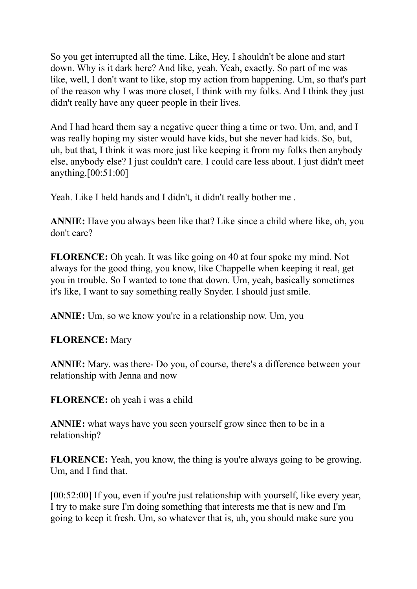So you get interrupted all the time. Like, Hey, I shouldn't be alone and start down. Why is it dark here? And like, yeah. Yeah, exactly. So part of me was like, well, I don't want to like, stop my action from happening. Um, so that's part of the reason why I was more closet, I think with my folks. And I think they just didn't really have any queer people in their lives.

And I had heard them say a negative queer thing a time or two. Um, and, and I was really hoping my sister would have kids, but she never had kids. So, but, uh, but that, I think it was more just like keeping it from my folks then anybody else, anybody else? I just couldn't care. I could care less about. I just didn't meet anything.[00:51:00]

Yeah. Like I held hands and I didn't, it didn't really bother me .

**ANNIE:** Have you always been like that? Like since a child where like, oh, you don't care?

**FLORENCE:** Oh yeah. It was like going on 40 at four spoke my mind. Not always for the good thing, you know, like Chappelle when keeping it real, get you in trouble. So I wanted to tone that down. Um, yeah, basically sometimes it's like, I want to say something really Snyder. I should just smile.

**ANNIE:** Um, so we know you're in a relationship now. Um, you

**FLORENCE:** Mary

**ANNIE:** Mary. was there- Do you, of course, there's a difference between your relationship with Jenna and now

**FLORENCE:** oh yeah i was a child

**ANNIE:** what ways have you seen yourself grow since then to be in a relationship?

**FLORENCE:** Yeah, you know, the thing is you're always going to be growing. Um, and I find that.

[00:52:00] If you, even if you're just relationship with yourself, like every year, I try to make sure I'm doing something that interests me that is new and I'm going to keep it fresh. Um, so whatever that is, uh, you should make sure you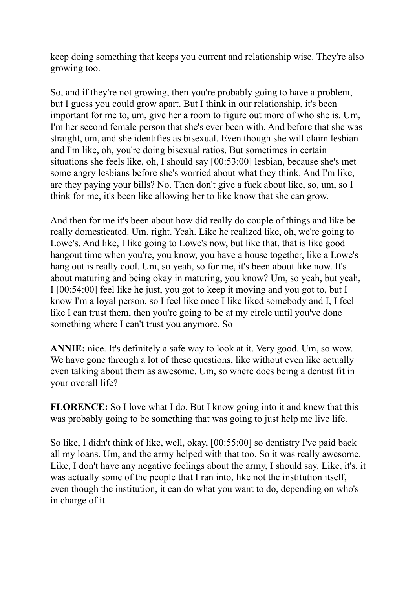keep doing something that keeps you current and relationship wise. They're also growing too.

So, and if they're not growing, then you're probably going to have a problem, but I guess you could grow apart. But I think in our relationship, it's been important for me to, um, give her a room to figure out more of who she is. Um, I'm her second female person that she's ever been with. And before that she was straight, um, and she identifies as bisexual. Even though she will claim lesbian and I'm like, oh, you're doing bisexual ratios. But sometimes in certain situations she feels like, oh, I should say [00:53:00] lesbian, because she's met some angry lesbians before she's worried about what they think. And I'm like, are they paying your bills? No. Then don't give a fuck about like, so, um, so I think for me, it's been like allowing her to like know that she can grow.

And then for me it's been about how did really do couple of things and like be really domesticated. Um, right. Yeah. Like he realized like, oh, we're going to Lowe's. And like, I like going to Lowe's now, but like that, that is like good hangout time when you're, you know, you have a house together, like a Lowe's hang out is really cool. Um, so yeah, so for me, it's been about like now. It's about maturing and being okay in maturing, you know? Um, so yeah, but yeah, I [00:54:00] feel like he just, you got to keep it moving and you got to, but I know I'm a loyal person, so I feel like once I like liked somebody and I, I feel like I can trust them, then you're going to be at my circle until you've done something where I can't trust you anymore. So

**ANNIE:** nice. It's definitely a safe way to look at it. Very good. Um, so wow. We have gone through a lot of these questions, like without even like actually even talking about them as awesome. Um, so where does being a dentist fit in your overall life?

**FLORENCE:** So I love what I do. But I know going into it and knew that this was probably going to be something that was going to just help me live life.

So like, I didn't think of like, well, okay, [00:55:00] so dentistry I've paid back all my loans. Um, and the army helped with that too. So it was really awesome. Like, I don't have any negative feelings about the army, I should say. Like, it's, it was actually some of the people that I ran into, like not the institution itself, even though the institution, it can do what you want to do, depending on who's in charge of it.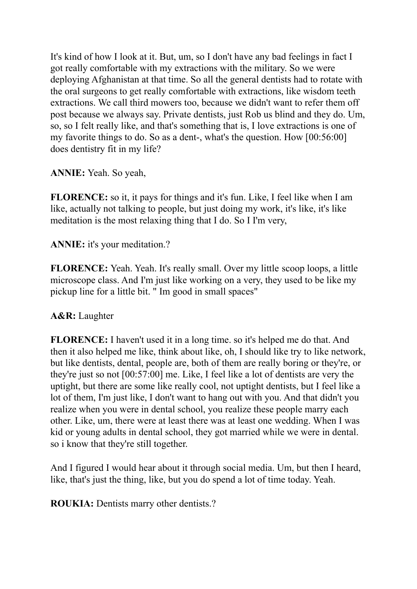It's kind of how I look at it. But, um, so I don't have any bad feelings in fact I got really comfortable with my extractions with the military. So we were deploying Afghanistan at that time. So all the general dentists had to rotate with the oral surgeons to get really comfortable with extractions, like wisdom teeth extractions. We call third mowers too, because we didn't want to refer them off post because we always say. Private dentists, just Rob us blind and they do. Um, so, so I felt really like, and that's something that is, I love extractions is one of my favorite things to do. So as a dent-, what's the question. How [00:56:00] does dentistry fit in my life?

**ANNIE:** Yeah. So yeah,

**FLORENCE:** so it, it pays for things and it's fun. Like, I feel like when I am like, actually not talking to people, but just doing my work, it's like, it's like meditation is the most relaxing thing that I do. So I I'm very,

**ANNIE:** it's your meditation.?

**FLORENCE:** Yeah. Yeah. It's really small. Over my little scoop loops, a little microscope class. And I'm just like working on a very, they used to be like my pickup line for a little bit. " Im good in small spaces"

## **A&R:** Laughter

**FLORENCE:** I haven't used it in a long time. so it's helped me do that. And then it also helped me like, think about like, oh, I should like try to like network, but like dentists, dental, people are, both of them are really boring or they're, or they're just so not [00:57:00] me. Like, I feel like a lot of dentists are very the uptight, but there are some like really cool, not uptight dentists, but I feel like a lot of them, I'm just like, I don't want to hang out with you. And that didn't you realize when you were in dental school, you realize these people marry each other. Like, um, there were at least there was at least one wedding. When I was kid or young adults in dental school, they got married while we were in dental. so i know that they're still together.

And I figured I would hear about it through social media. Um, but then I heard, like, that's just the thing, like, but you do spend a lot of time today. Yeah.

**ROUKIA:** Dentists marry other dentists.?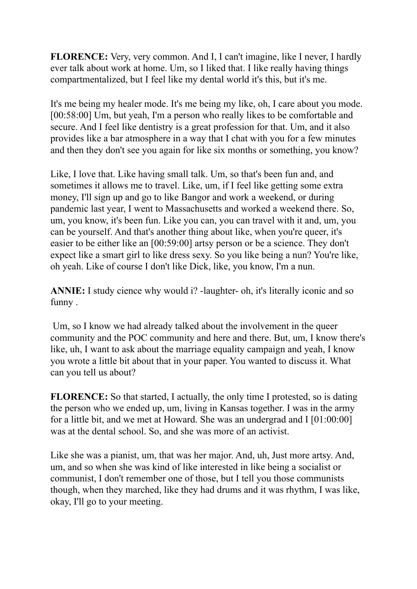**FLORENCE:** Very, very common. And I, I can't imagine, like I never, I hardly ever talk about work at home. Um, so I liked that. I like really having things compartmentalized, but I feel like my dental world it's this, but it's me.

It's me being my healer mode. It's me being my like, oh, I care about you mode. [00:58:00] Um, but yeah, I'm a person who really likes to be comfortable and secure. And I feel like dentistry is a great profession for that. Um, and it also provides like a bar atmosphere in a way that I chat with you for a few minutes and then they don't see you again for like six months or something, you know?

Like, I love that. Like having small talk. Um, so that's been fun and, and sometimes it allows me to travel. Like, um, if I feel like getting some extra money, I'll sign up and go to like Bangor and work a weekend, or during pandemic last year, I went to Massachusetts and worked a weekend there. So, um, you know, it's been fun. Like you can, you can travel with it and, um, you can be yourself. And that's another thing about like, when you're queer, it's easier to be either like an [00:59:00] artsy person or be a science. They don't expect like a smart girl to like dress sexy. So you like being a nun? You're like, oh yeah. Like of course I don't like Dick, like, you know, I'm a nun.

**ANNIE:** I study cience why would i? -laughter- oh, it's literally iconic and so funny .

Um, so I know we had already talked about the involvement in the queer community and the POC community and here and there. But, um, I know there's like, uh, I want to ask about the marriage equality campaign and yeah, I know you wrote a little bit about that in your paper. You wanted to discuss it. What can you tell us about?

**FLORENCE:** So that started, I actually, the only time I protested, so is dating the person who we ended up, um, living in Kansas together. I was in the army for a little bit, and we met at Howard. She was an undergrad and I [01:00:00] was at the dental school. So, and she was more of an activist.

Like she was a pianist, um, that was her major. And, uh, Just more artsy. And, um, and so when she was kind of like interested in like being a socialist or communist, I don't remember one of those, but I tell you those communists though, when they marched, like they had drums and it was rhythm, I was like, okay, I'll go to your meeting.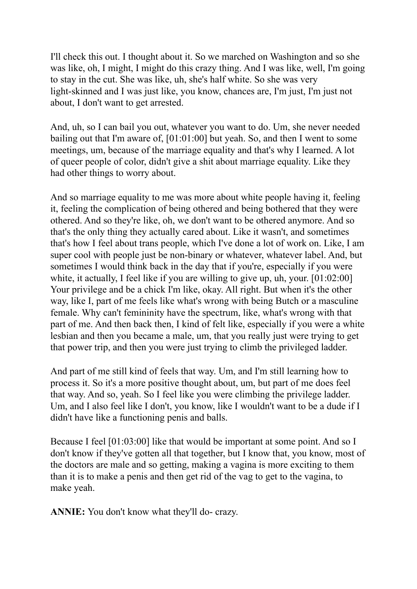I'll check this out. I thought about it. So we marched on Washington and so she was like, oh, I might, I might do this crazy thing. And I was like, well, I'm going to stay in the cut. She was like, uh, she's half white. So she was very light-skinned and I was just like, you know, chances are, I'm just, I'm just not about, I don't want to get arrested.

And, uh, so I can bail you out, whatever you want to do. Um, she never needed bailing out that I'm aware of, [01:01:00] but yeah. So, and then I went to some meetings, um, because of the marriage equality and that's why I learned. A lot of queer people of color, didn't give a shit about marriage equality. Like they had other things to worry about.

And so marriage equality to me was more about white people having it, feeling it, feeling the complication of being othered and being bothered that they were othered. And so they're like, oh, we don't want to be othered anymore. And so that's the only thing they actually cared about. Like it wasn't, and sometimes that's how I feel about trans people, which I've done a lot of work on. Like, I am super cool with people just be non-binary or whatever, whatever label. And, but sometimes I would think back in the day that if you're, especially if you were white, it actually, I feel like if you are willing to give up, uh, your. [01:02:00] Your privilege and be a chick I'm like, okay. All right. But when it's the other way, like I, part of me feels like what's wrong with being Butch or a masculine female. Why can't femininity have the spectrum, like, what's wrong with that part of me. And then back then, I kind of felt like, especially if you were a white lesbian and then you became a male, um, that you really just were trying to get that power trip, and then you were just trying to climb the privileged ladder.

And part of me still kind of feels that way. Um, and I'm still learning how to process it. So it's a more positive thought about, um, but part of me does feel that way. And so, yeah. So I feel like you were climbing the privilege ladder. Um, and I also feel like I don't, you know, like I wouldn't want to be a dude if I didn't have like a functioning penis and balls.

Because I feel [01:03:00] like that would be important at some point. And so I don't know if they've gotten all that together, but I know that, you know, most of the doctors are male and so getting, making a vagina is more exciting to them than it is to make a penis and then get rid of the vag to get to the vagina, to make yeah.

**ANNIE:** You don't know what they'll do- crazy.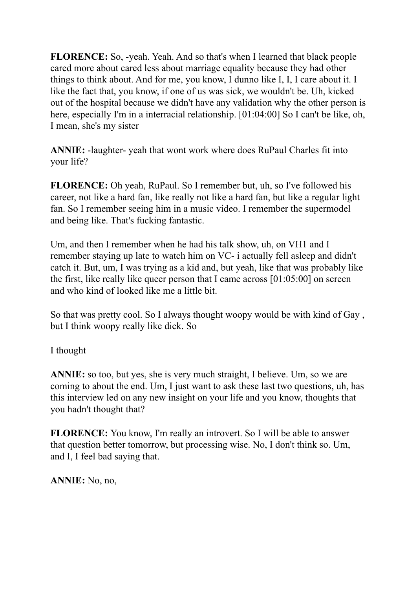**FLORENCE:** So, -yeah. Yeah. And so that's when I learned that black people cared more about cared less about marriage equality because they had other things to think about. And for me, you know, I dunno like I, I, I care about it. I like the fact that, you know, if one of us was sick, we wouldn't be. Uh, kicked out of the hospital because we didn't have any validation why the other person is here, especially I'm in a interracial relationship. [01:04:00] So I can't be like, oh, I mean, she's my sister

**ANNIE:** -laughter- yeah that wont work where does RuPaul Charles fit into your life?

**FLORENCE:** Oh yeah, RuPaul. So I remember but, uh, so I've followed his career, not like a hard fan, like really not like a hard fan, but like a regular light fan. So I remember seeing him in a music video. I remember the supermodel and being like. That's fucking fantastic.

Um, and then I remember when he had his talk show, uh, on VH1 and I remember staying up late to watch him on VC- i actually fell asleep and didn't catch it. But, um, I was trying as a kid and, but yeah, like that was probably like the first, like really like queer person that I came across [01:05:00] on screen and who kind of looked like me a little bit.

So that was pretty cool. So I always thought woopy would be with kind of Gay , but I think woopy really like dick. So

I thought

**ANNIE:** so too, but yes, she is very much straight, I believe. Um, so we are coming to about the end. Um, I just want to ask these last two questions, uh, has this interview led on any new insight on your life and you know, thoughts that you hadn't thought that?

**FLORENCE:** You know, I'm really an introvert. So I will be able to answer that question better tomorrow, but processing wise. No, I don't think so. Um, and I, I feel bad saying that.

**ANNIE:** No, no,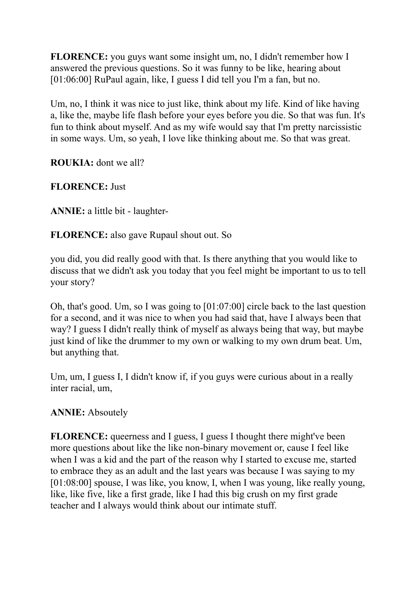**FLORENCE:** you guys want some insight um, no, I didn't remember how I answered the previous questions. So it was funny to be like, hearing about [01:06:00] RuPaul again, like, I guess I did tell you I'm a fan, but no.

Um, no, I think it was nice to just like, think about my life. Kind of like having a, like the, maybe life flash before your eyes before you die. So that was fun. It's fun to think about myself. And as my wife would say that I'm pretty narcissistic in some ways. Um, so yeah, I love like thinking about me. So that was great.

**ROUKIA:** dont we all?

**FLORENCE:** Just

**ANNIE:** a little bit - laughter-

**FLORENCE:** also gave Rupaul shout out. So

you did, you did really good with that. Is there anything that you would like to discuss that we didn't ask you today that you feel might be important to us to tell your story?

Oh, that's good. Um, so I was going to [01:07:00] circle back to the last question for a second, and it was nice to when you had said that, have I always been that way? I guess I didn't really think of myself as always being that way, but maybe just kind of like the drummer to my own or walking to my own drum beat. Um, but anything that.

Um, um, I guess I, I didn't know if, if you guys were curious about in a really inter racial, um,

## **ANNIE:** Absoutely

**FLORENCE:** queerness and I guess, I guess I thought there might've been more questions about like the like non-binary movement or, cause I feel like when I was a kid and the part of the reason why I started to excuse me, started to embrace they as an adult and the last years was because I was saying to my [01:08:00] spouse, I was like, you know, I, when I was young, like really young, like, like five, like a first grade, like I had this big crush on my first grade teacher and I always would think about our intimate stuff.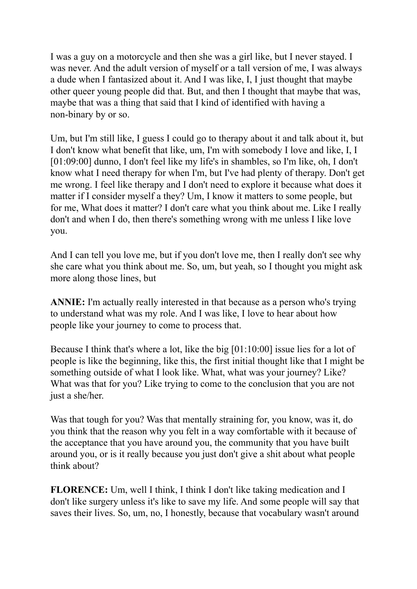I was a guy on a motorcycle and then she was a girl like, but I never stayed. I was never. And the adult version of myself or a tall version of me, I was always a dude when I fantasized about it. And I was like, I, I just thought that maybe other queer young people did that. But, and then I thought that maybe that was, maybe that was a thing that said that I kind of identified with having a non-binary by or so.

Um, but I'm still like, I guess I could go to therapy about it and talk about it, but I don't know what benefit that like, um, I'm with somebody I love and like, I, I [01:09:00] dunno, I don't feel like my life's in shambles, so I'm like, oh, I don't know what I need therapy for when I'm, but I've had plenty of therapy. Don't get me wrong. I feel like therapy and I don't need to explore it because what does it matter if I consider myself a they? Um, I know it matters to some people, but for me, What does it matter? I don't care what you think about me. Like I really don't and when I do, then there's something wrong with me unless I like love you.

And I can tell you love me, but if you don't love me, then I really don't see why she care what you think about me. So, um, but yeah, so I thought you might ask more along those lines, but

**ANNIE:** I'm actually really interested in that because as a person who's trying to understand what was my role. And I was like, I love to hear about how people like your journey to come to process that.

Because I think that's where a lot, like the big [01:10:00] issue lies for a lot of people is like the beginning, like this, the first initial thought like that I might be something outside of what I look like. What, what was your journey? Like? What was that for you? Like trying to come to the conclusion that you are not just a she/her.

Was that tough for you? Was that mentally straining for, you know, was it, do you think that the reason why you felt in a way comfortable with it because of the acceptance that you have around you, the community that you have built around you, or is it really because you just don't give a shit about what people think about?

**FLORENCE:** Um, well I think, I think I don't like taking medication and I don't like surgery unless it's like to save my life. And some people will say that saves their lives. So, um, no, I honestly, because that vocabulary wasn't around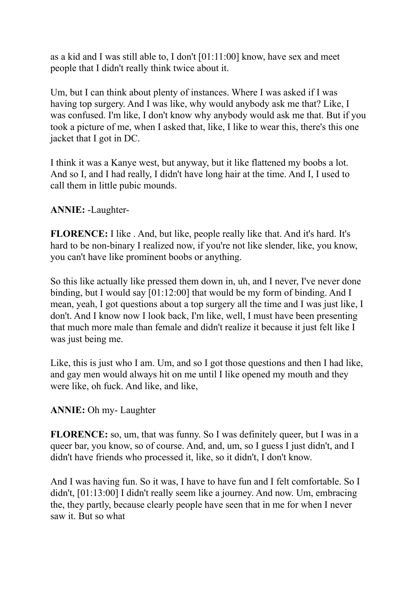as a kid and I was still able to, I don't [01:11:00] know, have sex and meet people that I didn't really think twice about it.

Um, but I can think about plenty of instances. Where I was asked if I was having top surgery. And I was like, why would anybody ask me that? Like, I was confused. I'm like, I don't know why anybody would ask me that. But if you took a picture of me, when I asked that, like, I like to wear this, there's this one jacket that I got in DC.

I think it was a Kanye west, but anyway, but it like flattened my boobs a lot. And so I, and I had really, I didn't have long hair at the time. And I, I used to call them in little pubic mounds.

## **ANNIE:** -Laughter-

**FLORENCE:** I like . And, but like, people really like that. And it's hard. It's hard to be non-binary I realized now, if you're not like slender, like, you know, you can't have like prominent boobs or anything.

So this like actually like pressed them down in, uh, and I never, I've never done binding, but I would say [01:12:00] that would be my form of binding. And I mean, yeah, I got questions about a top surgery all the time and I was just like, I don't. And I know now I look back, I'm like, well, I must have been presenting that much more male than female and didn't realize it because it just felt like I was just being me.

Like, this is just who I am. Um, and so I got those questions and then I had like, and gay men would always hit on me until I like opened my mouth and they were like, oh fuck. And like, and like,

## **ANNIE:** Oh my- Laughter

**FLORENCE:** so, um, that was funny. So I was definitely queer, but I was in a queer bar, you know, so of course. And, and, um, so I guess I just didn't, and I didn't have friends who processed it, like, so it didn't, I don't know.

And I was having fun. So it was, I have to have fun and I felt comfortable. So I didn't, [01:13:00] I didn't really seem like a journey. And now. Um, embracing the, they partly, because clearly people have seen that in me for when I never saw it. But so what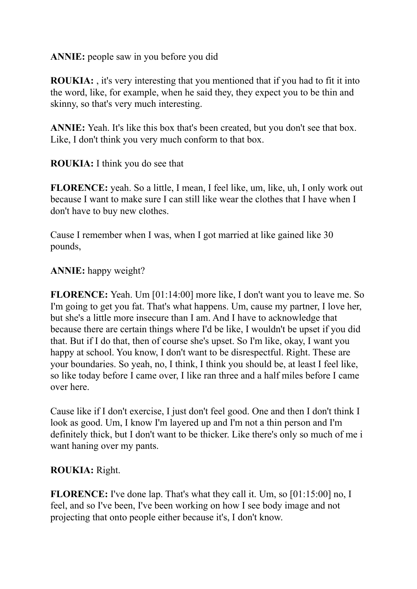**ANNIE:** people saw in you before you did

**ROUKIA:** , it's very interesting that you mentioned that if you had to fit it into the word, like, for example, when he said they, they expect you to be thin and skinny, so that's very much interesting.

**ANNIE:** Yeah. It's like this box that's been created, but you don't see that box. Like, I don't think you very much conform to that box.

**ROUKIA:** I think you do see that

**FLORENCE:** yeah. So a little, I mean, I feel like, um, like, uh, I only work out because I want to make sure I can still like wear the clothes that I have when I don't have to buy new clothes.

Cause I remember when I was, when I got married at like gained like 30 pounds,

**ANNIE:** happy weight?

**FLORENCE:** Yeah. Um [01:14:00] more like, I don't want you to leave me. So I'm going to get you fat. That's what happens. Um, cause my partner, I love her, but she's a little more insecure than I am. And I have to acknowledge that because there are certain things where I'd be like, I wouldn't be upset if you did that. But if I do that, then of course she's upset. So I'm like, okay, I want you happy at school. You know, I don't want to be disrespectful. Right. These are your boundaries. So yeah, no, I think, I think you should be, at least I feel like, so like today before I came over, I like ran three and a half miles before I came over here.

Cause like if I don't exercise, I just don't feel good. One and then I don't think I look as good. Um, I know I'm layered up and I'm not a thin person and I'm definitely thick, but I don't want to be thicker. Like there's only so much of me i want haning over my pants.

## **ROUKIA:** Right.

**FLORENCE:** I've done lap. That's what they call it. Um, so [01:15:00] no, I feel, and so I've been, I've been working on how I see body image and not projecting that onto people either because it's, I don't know.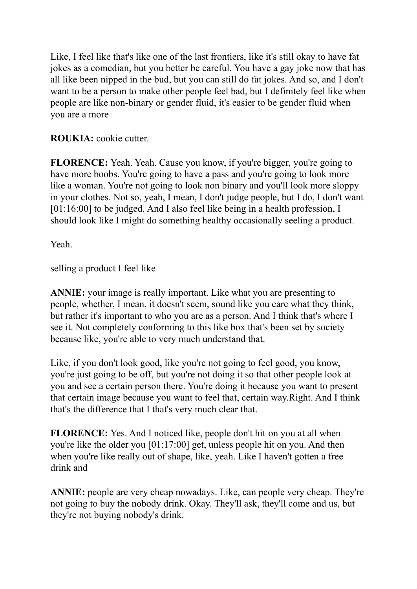Like, I feel like that's like one of the last frontiers, like it's still okay to have fat jokes as a comedian, but you better be careful. You have a gay joke now that has all like been nipped in the bud, but you can still do fat jokes. And so, and I don't want to be a person to make other people feel bad, but I definitely feel like when people are like non-binary or gender fluid, it's easier to be gender fluid when you are a more

# **ROUKIA:** cookie cutter.

**FLORENCE:** Yeah. Yeah. Cause you know, if you're bigger, you're going to have more boobs. You're going to have a pass and you're going to look more like a woman. You're not going to look non binary and you'll look more sloppy in your clothes. Not so, yeah, I mean, I don't judge people, but I do, I don't want [01:16:00] to be judged. And I also feel like being in a health profession, I should look like I might do something healthy occasionally seeling a product.

Yeah.

selling a product I feel like

**ANNIE:** your image is really important. Like what you are presenting to people, whether, I mean, it doesn't seem, sound like you care what they think, but rather it's important to who you are as a person. And I think that's where I see it. Not completely conforming to this like box that's been set by society because like, you're able to very much understand that.

Like, if you don't look good, like you're not going to feel good, you know, you're just going to be off, but you're not doing it so that other people look at you and see a certain person there. You're doing it because you want to present that certain image because you want to feel that, certain way.Right. And I think that's the difference that I that's very much clear that.

**FLORENCE:** Yes. And I noticed like, people don't hit on you at all when you're like the older you [01:17:00] get, unless people hit on you. And then when you're like really out of shape, like, yeah. Like I haven't gotten a free drink and

**ANNIE:** people are very cheap nowadays. Like, can people very cheap. They're not going to buy the nobody drink. Okay. They'll ask, they'll come and us, but they're not buying nobody's drink.